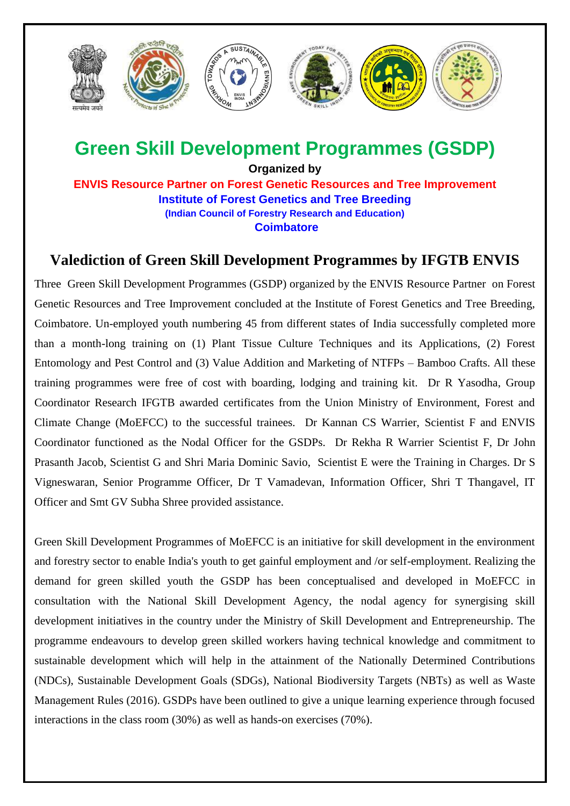

## **Green Skill Development Programmes (GSDP)**

**Organized by**

**ENVIS Resource Partner on Forest Genetic Resources and Tree Improvement Institute of Forest Genetics and Tree Breeding (Indian Council of Forestry Research and Education) Coimbatore**

## **Valediction of Green Skill Development Programmes by IFGTB ENVIS**

Three Green Skill Development Programmes (GSDP) organized by the ENVIS Resource Partner on Forest Genetic Resources and Tree Improvement concluded at the Institute of Forest Genetics and Tree Breeding, Coimbatore. Un-employed youth numbering 45 from different states of India successfully completed more than a month-long training on (1) Plant Tissue Culture Techniques and its Applications, (2) Forest Entomology and Pest Control and (3) Value Addition and Marketing of NTFPs – Bamboo Crafts. All these training programmes were free of cost with boarding, lodging and training kit. Dr R Yasodha, Group Coordinator Research IFGTB awarded certificates from the Union Ministry of Environment, Forest and Climate Change (MoEFCC) to the successful trainees. Dr Kannan CS Warrier, Scientist F and ENVIS Coordinator functioned as the Nodal Officer for the GSDPs. Dr Rekha R Warrier Scientist F, Dr John Prasanth Jacob, Scientist G and Shri Maria Dominic Savio, Scientist E were the Training in Charges. Dr S Vigneswaran, Senior Programme Officer, Dr T Vamadevan, Information Officer, Shri T Thangavel, IT Officer and Smt GV Subha Shree provided assistance.

Green Skill Development Programmes of MoEFCC is an initiative for skill development in the environment and forestry sector to enable India's youth to get gainful employment and /or self-employment. Realizing the demand for green skilled youth the GSDP has been conceptualised and developed in MoEFCC in consultation with the National Skill Development Agency, the nodal agency for synergising skill development initiatives in the country under the Ministry of Skill Development and Entrepreneurship. The programme endeavours to develop green skilled workers having technical knowledge and commitment to sustainable development which will help in the attainment of the Nationally Determined Contributions (NDCs), Sustainable Development Goals (SDGs), National Biodiversity Targets (NBTs) as well as Waste Management Rules (2016). GSDPs have been outlined to give a unique learning experience through focused interactions in the class room (30%) as well as hands-on exercises (70%).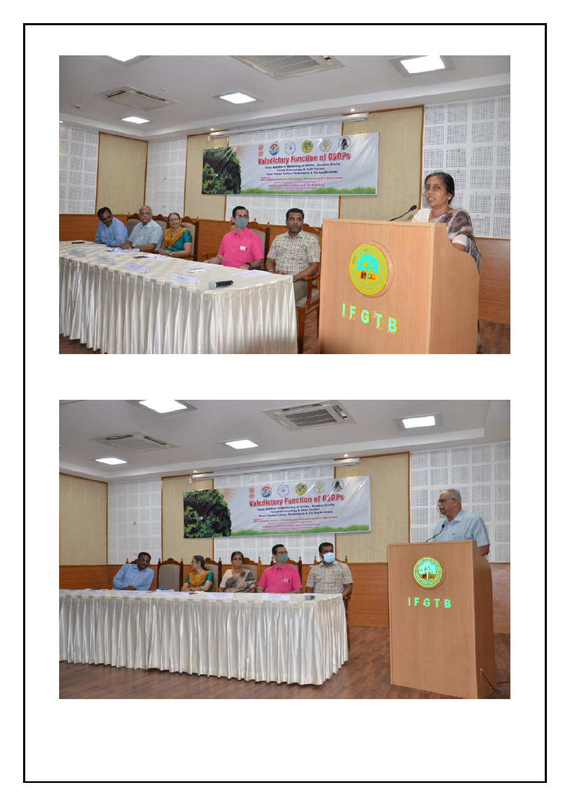

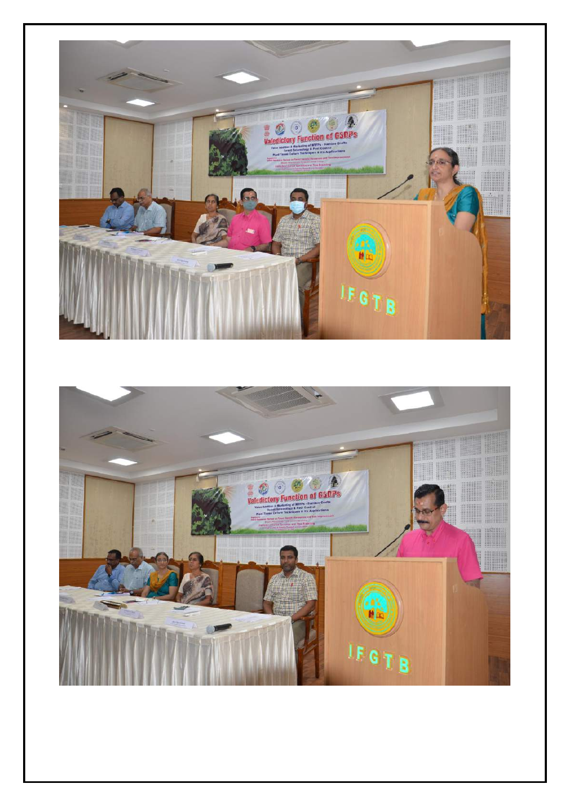

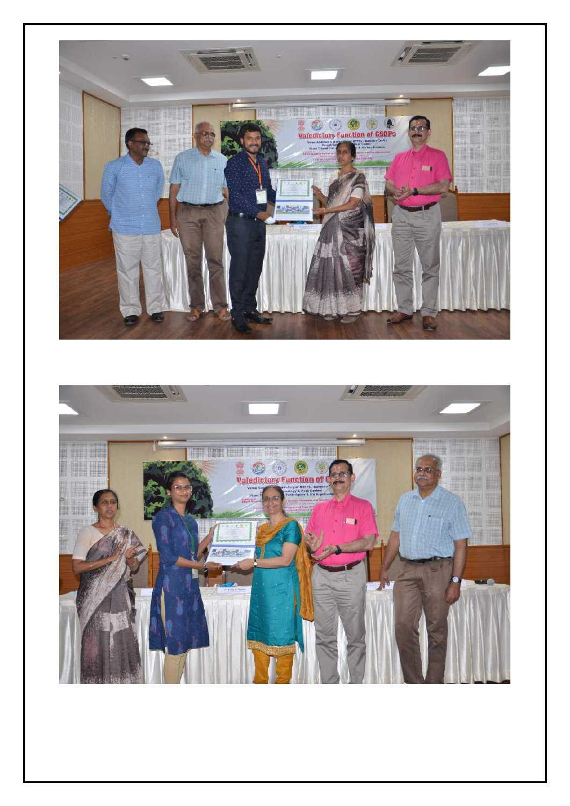

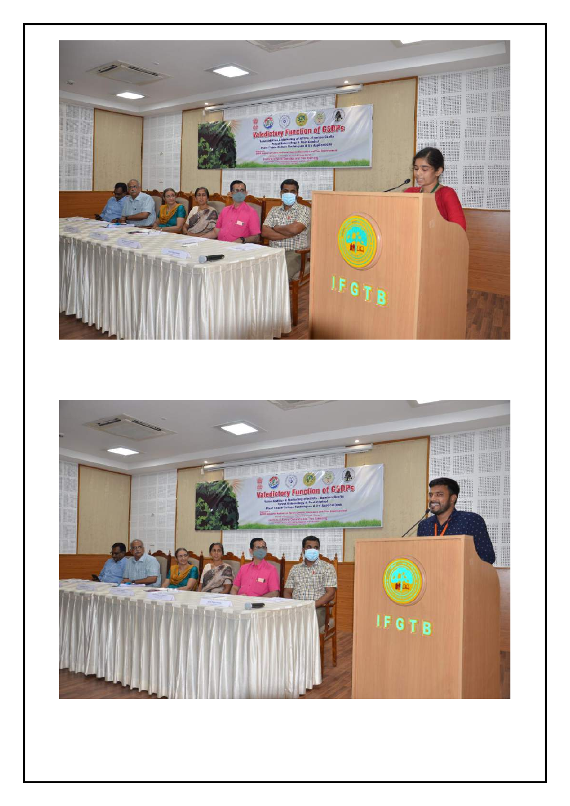

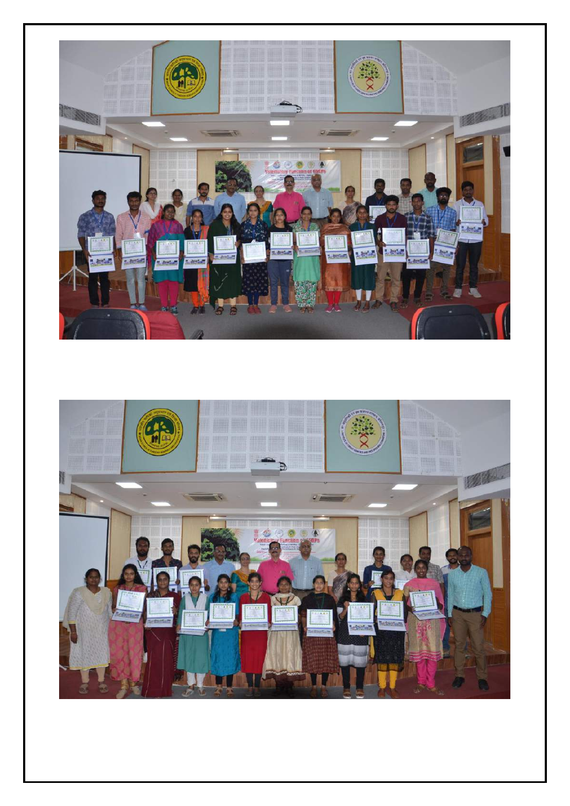